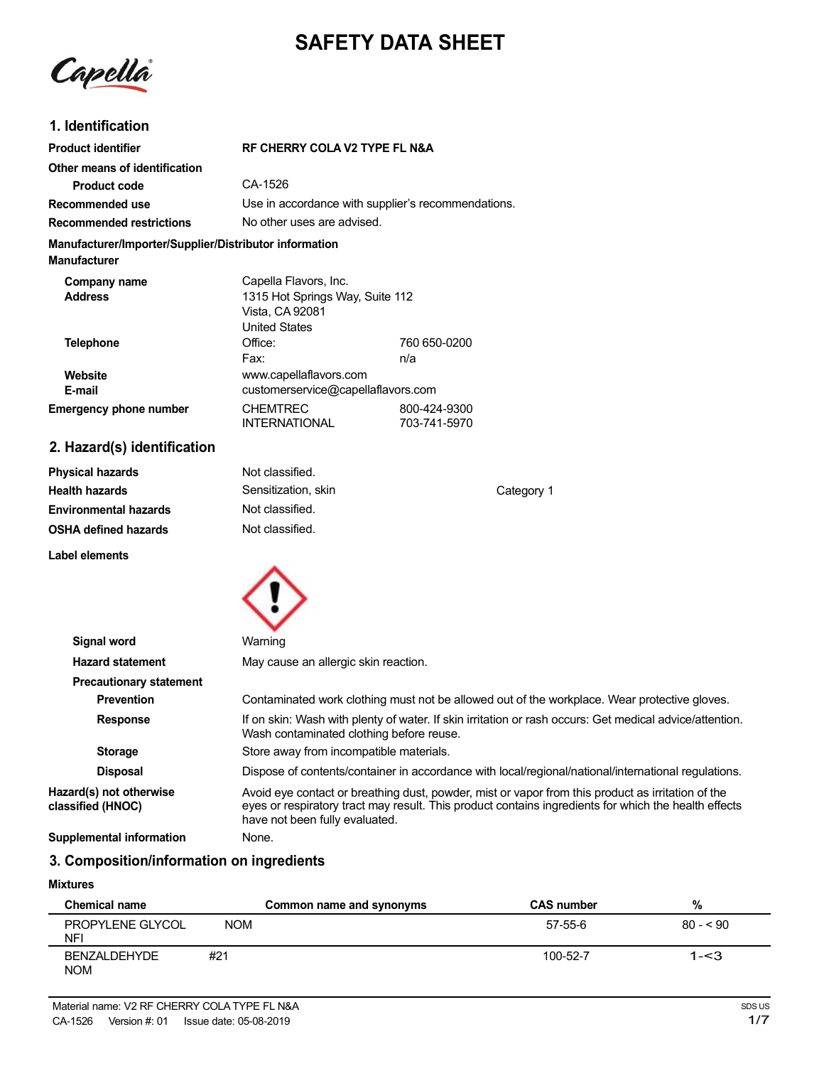# **SAFETY DATA SHEET**

Capella

## **1. Identification**

| <b>Product identifier</b>                                                     | <b>RF CHERRY COLA V2 TYPE FL N&amp;A</b>                                                            |                              |  |
|-------------------------------------------------------------------------------|-----------------------------------------------------------------------------------------------------|------------------------------|--|
| Other means of identification                                                 |                                                                                                     |                              |  |
| Product code                                                                  | CA-1526                                                                                             |                              |  |
| Recommended use                                                               | Use in accordance with supplier's recommendations.                                                  |                              |  |
| <b>Recommended restrictions</b>                                               | No other uses are advised.                                                                          |                              |  |
| Manufacturer/Importer/Supplier/Distributor information<br><b>Manufacturer</b> |                                                                                                     |                              |  |
| Company name<br><b>Address</b>                                                | Capella Flavors, Inc.<br>1315 Hot Springs Way, Suite 112<br>Vista, CA 92081<br><b>United States</b> |                              |  |
| <b>Telephone</b>                                                              | Office:<br>Fax:                                                                                     | 760 650-0200<br>n/a          |  |
| Website<br>E-mail                                                             | www.capellaflavors.com<br>customerservice@capellaflavors.com                                        |                              |  |
| <b>Emergency phone number</b>                                                 | <b>CHEMTREC</b><br><b>INTERNATIONAL</b>                                                             | 800-424-9300<br>703-741-5970 |  |
| 2. Hazard(s) identification                                                   |                                                                                                     |                              |  |

| <b>Physical hazards</b>      | Not classified.     |            |
|------------------------------|---------------------|------------|
| <b>Health hazards</b>        | Sensitization, skin | Category 1 |
| <b>Environmental hazards</b> | Not classified.     |            |
| <b>OSHA defined hazards</b>  | Not classified.     |            |
| Label elements               |                     |            |



| Signal word                                  | Warning                                                                                                                                                                                                                                     |
|----------------------------------------------|---------------------------------------------------------------------------------------------------------------------------------------------------------------------------------------------------------------------------------------------|
| <b>Hazard statement</b>                      | May cause an allergic skin reaction.                                                                                                                                                                                                        |
| <b>Precautionary statement</b>               |                                                                                                                                                                                                                                             |
| <b>Prevention</b>                            | Contaminated work clothing must not be allowed out of the workplace. Wear protective gloves.                                                                                                                                                |
| <b>Response</b>                              | If on skin: Wash with plenty of water. If skin irritation or rash occurs: Get medical advice/attention.<br>Wash contaminated clothing before reuse.                                                                                         |
| <b>Storage</b>                               | Store away from incompatible materials.                                                                                                                                                                                                     |
| <b>Disposal</b>                              | Dispose of contents/container in accordance with local/regional/national/international regulations.                                                                                                                                         |
| Hazard(s) not otherwise<br>classified (HNOC) | Avoid eye contact or breathing dust, powder, mist or vapor from this product as irritation of the<br>eyes or respiratory tract may result. This product contains ingredients for which the health effects<br>have not been fully evaluated. |
| Supplemental information                     | None.                                                                                                                                                                                                                                       |

# **3. Composition/information on ingredients**

#### **Mixtures**

| <b>Chemical name</b>           |            | Common name and synonyms | <b>CAS number</b> | %         |
|--------------------------------|------------|--------------------------|-------------------|-----------|
| PROPYLENE GLYCOL<br><b>NFI</b> | <b>NOM</b> |                          | 57-55-6           | $80 - 90$ |
| BENZALDEHYDE<br><b>NOM</b>     | #21        |                          | 100-52-7          | $1 - 3$   |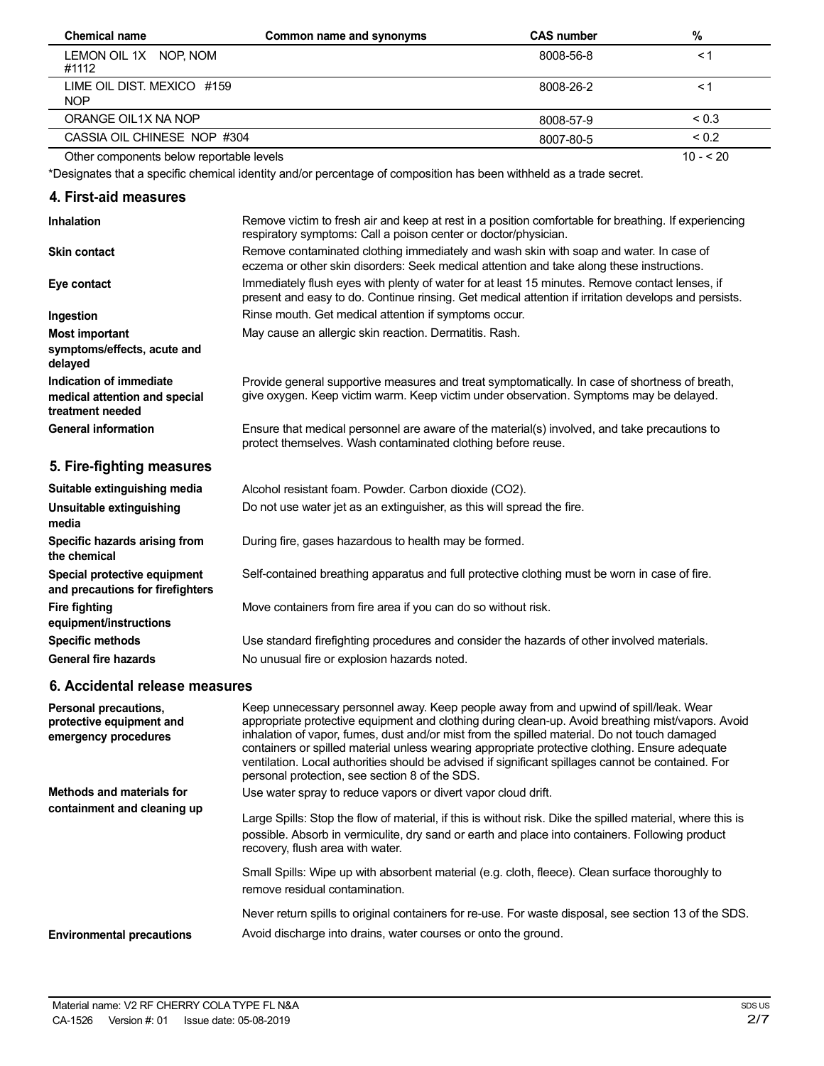| <b>Chemical name</b>                     | Common name and synonyms | <b>CAS number</b> | %          |
|------------------------------------------|--------------------------|-------------------|------------|
| LEMON OIL 1X NOP, NOM<br>#1112           |                          | 8008-56-8         | $\leq$ 1   |
| LIME OIL DIST. MEXICO #159<br><b>NOP</b> |                          | 8008-26-2         | ≺1         |
| ORANGE OIL1X NA NOP                      |                          | 8008-57-9         | < 0.3      |
| CASSIA OIL CHINESE NOP #304              |                          | 8007-80-5         | ${}_{0.2}$ |
| Other components below reportable levels |                          |                   | $10 - 520$ |

\*Designates that a specific chemical identity and/or percentage of composition has been withheld as a trade secret.

# **4. First-aid measures**

| Inhalation                                                                   | Remove victim to fresh air and keep at rest in a position comfortable for breathing. If experiencing<br>respiratory symptoms: Call a poison center or doctor/physician.                                |
|------------------------------------------------------------------------------|--------------------------------------------------------------------------------------------------------------------------------------------------------------------------------------------------------|
| <b>Skin contact</b>                                                          | Remove contaminated clothing immediately and wash skin with soap and water. In case of<br>eczema or other skin disorders: Seek medical attention and take along these instructions.                    |
| Eye contact                                                                  | Immediately flush eyes with plenty of water for at least 15 minutes. Remove contact lenses, if<br>present and easy to do. Continue rinsing. Get medical attention if irritation develops and persists. |
| Ingestion                                                                    | Rinse mouth. Get medical attention if symptoms occur.                                                                                                                                                  |
| <b>Most important</b><br>symptoms/effects, acute and<br>delayed              | May cause an allergic skin reaction. Dermatitis. Rash.                                                                                                                                                 |
| Indication of immediate<br>medical attention and special<br>treatment needed | Provide general supportive measures and treat symptomatically. In case of shortness of breath,<br>give oxygen. Keep victim warm. Keep victim under observation. Symptoms may be delayed.               |
| <b>General information</b>                                                   | Ensure that medical personnel are aware of the material(s) involved, and take precautions to<br>protect themselves. Wash contaminated clothing before reuse.                                           |
| 5. Fire-fighting measures                                                    |                                                                                                                                                                                                        |
| Suitable extinguishing media                                                 | Alcohol resistant foam. Powder. Carbon dioxide (CO2).                                                                                                                                                  |
| Unsuitable extinguishing<br>media                                            | Do not use water jet as an extinguisher, as this will spread the fire.                                                                                                                                 |
| Specific hazards arising from<br>the chemical                                | During fire, gases hazardous to health may be formed.                                                                                                                                                  |
| Special protective equipment<br>and precautions for firefighters             | Self-contained breathing apparatus and full protective clothing must be worn in case of fire.                                                                                                          |
| <b>Fire fighting</b><br>equipment/instructions                               | Move containers from fire area if you can do so without risk.                                                                                                                                          |
| <b>Specific methods</b>                                                      | Use standard firefighting procedures and consider the hazards of other involved materials.                                                                                                             |
| <b>General fire hazards</b>                                                  | No unusual fire or explosion hazards noted.                                                                                                                                                            |
| 6. Accidental release measures                                               |                                                                                                                                                                                                        |
|                                                                              |                                                                                                                                                                                                        |

| Personal precautions,<br>protective equipment and<br>emergency procedures | Keep unnecessary personnel away. Keep people away from and upwind of spill/leak. Wear<br>appropriate protective equipment and clothing during clean-up. Avoid breathing mist/vapors. Avoid<br>inhalation of vapor, fumes, dust and/or mist from the spilled material. Do not touch damaged<br>containers or spilled material unless wearing appropriate protective clothing. Ensure adequate<br>ventilation. Local authorities should be advised if significant spillages cannot be contained. For<br>personal protection, see section 8 of the SDS. |
|---------------------------------------------------------------------------|------------------------------------------------------------------------------------------------------------------------------------------------------------------------------------------------------------------------------------------------------------------------------------------------------------------------------------------------------------------------------------------------------------------------------------------------------------------------------------------------------------------------------------------------------|
| <b>Methods and materials for</b>                                          | Use water spray to reduce vapors or divert vapor cloud drift.                                                                                                                                                                                                                                                                                                                                                                                                                                                                                        |
| containment and cleaning up                                               | Large Spills: Stop the flow of material, if this is without risk. Dike the spilled material, where this is<br>possible. Absorb in vermiculite, dry sand or earth and place into containers. Following product<br>recovery, flush area with water.                                                                                                                                                                                                                                                                                                    |
|                                                                           | Small Spills: Wipe up with absorbent material (e.g. cloth, fleece). Clean surface thoroughly to<br>remove residual contamination.                                                                                                                                                                                                                                                                                                                                                                                                                    |
| <b>Environmental precautions</b>                                          | Never return spills to original containers for re-use. For waste disposal, see section 13 of the SDS.<br>Avoid discharge into drains, water courses or onto the ground.                                                                                                                                                                                                                                                                                                                                                                              |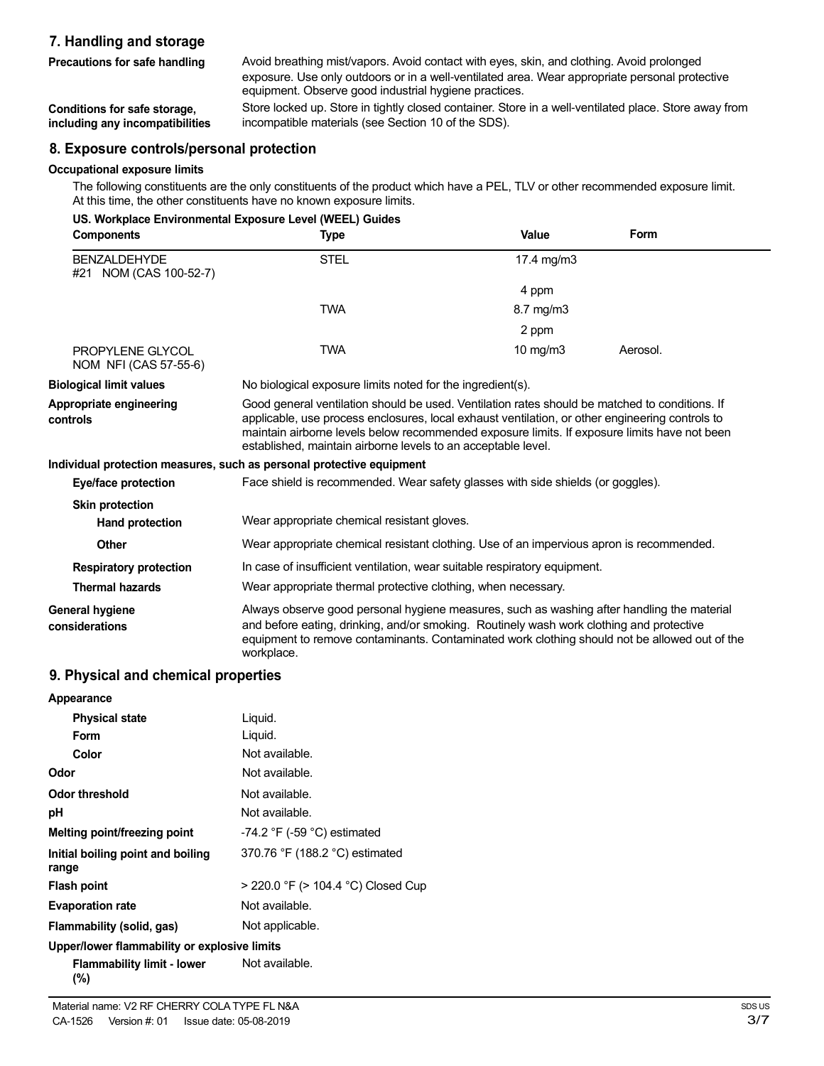## **7. Handling and storage**

**Precautions for safe handling**

Avoid breathing mist/vapors. Avoid contact with eyes, skin, and clothing. Avoid prolonged exposure. Use only outdoors or in a well-ventilated area. Wear appropriate personal protective equipment. Observe good industrial hygiene practices.

**Conditions for safe storage, including any incompatibilities**

Store locked up. Store in tightly closed container. Store in a well-ventilated place. Store away from incompatible materials (see Section 10 of the SDS).

## **8. Exposure controls/personal protection**

#### **Occupational exposure limits**

The following constituents are the only constituents of the product which have a PEL, TLV or other recommended exposure limit. At this time, the other constituents have no known exposure limits.

|                                               | US. Workplace Environmental Exposure Level (WEEL) Guides                                                                                                                                                                                                                                                                                                           |                |          |
|-----------------------------------------------|--------------------------------------------------------------------------------------------------------------------------------------------------------------------------------------------------------------------------------------------------------------------------------------------------------------------------------------------------------------------|----------------|----------|
| <b>Components</b>                             | <b>Type</b>                                                                                                                                                                                                                                                                                                                                                        | Value          | Form     |
| <b>BENZALDEHYDE</b><br>#21 NOM (CAS 100-52-7) | <b>STEL</b>                                                                                                                                                                                                                                                                                                                                                        | 17.4 mg/m3     |          |
|                                               |                                                                                                                                                                                                                                                                                                                                                                    | 4 ppm          |          |
|                                               | <b>TWA</b>                                                                                                                                                                                                                                                                                                                                                         | $8.7$ mg/m $3$ |          |
|                                               |                                                                                                                                                                                                                                                                                                                                                                    | 2 ppm          |          |
| PROPYLENE GLYCOL<br>NOM NFI (CAS 57-55-6)     | <b>TWA</b>                                                                                                                                                                                                                                                                                                                                                         | 10 $mg/m3$     | Aerosol. |
| <b>Biological limit values</b>                | No biological exposure limits noted for the ingredient(s).                                                                                                                                                                                                                                                                                                         |                |          |
| Appropriate engineering<br>controls           | Good general ventilation should be used. Ventilation rates should be matched to conditions. If<br>applicable, use process enclosures, local exhaust ventilation, or other engineering controls to<br>maintain airborne levels below recommended exposure limits. If exposure limits have not been<br>established, maintain airborne levels to an acceptable level. |                |          |
|                                               | Individual protection measures, such as personal protective equipment                                                                                                                                                                                                                                                                                              |                |          |
| Eye/face protection                           | Face shield is recommended. Wear safety glasses with side shields (or goggles).                                                                                                                                                                                                                                                                                    |                |          |
| <b>Skin protection</b>                        |                                                                                                                                                                                                                                                                                                                                                                    |                |          |
| <b>Hand protection</b>                        | Wear appropriate chemical resistant gloves.                                                                                                                                                                                                                                                                                                                        |                |          |
| Other                                         | Wear appropriate chemical resistant clothing. Use of an impervious apron is recommended.                                                                                                                                                                                                                                                                           |                |          |
| <b>Respiratory protection</b>                 | In case of insufficient ventilation, wear suitable respiratory equipment.                                                                                                                                                                                                                                                                                          |                |          |
| <b>Thermal hazards</b>                        | Wear appropriate thermal protective clothing, when necessary.                                                                                                                                                                                                                                                                                                      |                |          |
| General hygiene<br>considerations             | Always observe good personal hygiene measures, such as washing after handling the material<br>and before eating, drinking, and/or smoking. Routinely wash work clothing and protective<br>equipment to remove contaminants. Contaminated work clothing should not be allowed out of the<br>workplace.                                                              |                |          |

## **9. Physical and chemical properties**

| Appearance                                   |                                               |
|----------------------------------------------|-----------------------------------------------|
| <b>Physical state</b>                        | Liquid.                                       |
| Form                                         | Liquid.                                       |
| Color                                        | Not available.                                |
| Odor                                         | Not available.                                |
| Odor threshold                               | Not available.                                |
| рH                                           | Not available.                                |
| Melting point/freezing point                 | -74.2 $\degree$ F (-59 $\degree$ C) estimated |
| Initial boiling point and boiling<br>range   | 370.76 °F (188.2 °C) estimated                |
| <b>Flash point</b>                           | > 220.0 °F (> 104.4 °C) Closed Cup            |
| <b>Evaporation rate</b>                      | Not available.                                |
| Flammability (solid, gas)                    | Not applicable.                               |
| Upper/lower flammability or explosive limits |                                               |
| <b>Flammability limit - lower</b>            | Not available.                                |

**(%)**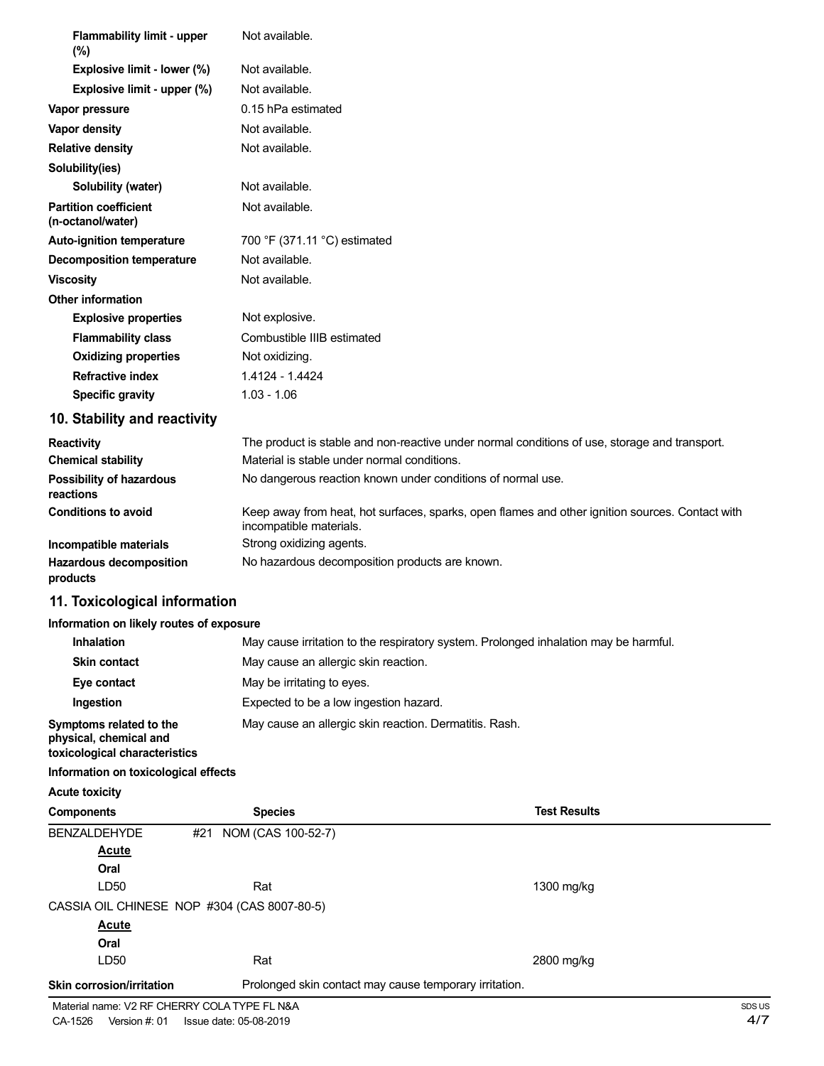| <b>Flammability limit - upper</b><br>$(\%)$                                        | Not available.                              |                                                                                                 |
|------------------------------------------------------------------------------------|---------------------------------------------|-------------------------------------------------------------------------------------------------|
| Explosive limit - lower (%)                                                        | Not available.                              |                                                                                                 |
| Explosive limit - upper (%)                                                        | Not available.                              |                                                                                                 |
| Vapor pressure                                                                     | 0.15 hPa estimated                          |                                                                                                 |
| Vapor density                                                                      | Not available.                              |                                                                                                 |
| <b>Relative density</b>                                                            | Not available.                              |                                                                                                 |
| Solubility(ies)                                                                    |                                             |                                                                                                 |
| Solubility (water)                                                                 | Not available.                              |                                                                                                 |
| <b>Partition coefficient</b><br>(n-octanol/water)                                  | Not available.                              |                                                                                                 |
| <b>Auto-ignition temperature</b>                                                   | 700 °F (371.11 °C) estimated                |                                                                                                 |
| <b>Decomposition temperature</b>                                                   | Not available.                              |                                                                                                 |
| <b>Viscosity</b>                                                                   | Not available.                              |                                                                                                 |
| <b>Other information</b>                                                           |                                             |                                                                                                 |
| <b>Explosive properties</b>                                                        | Not explosive.                              |                                                                                                 |
| <b>Flammability class</b>                                                          | Combustible IIIB estimated                  |                                                                                                 |
| <b>Oxidizing properties</b>                                                        | Not oxidizing.                              |                                                                                                 |
| <b>Refractive index</b>                                                            | 1.4124 - 1.4424                             |                                                                                                 |
| <b>Specific gravity</b>                                                            | $1.03 - 1.06$                               |                                                                                                 |
| 10. Stability and reactivity                                                       |                                             |                                                                                                 |
| <b>Reactivity</b>                                                                  |                                             | The product is stable and non-reactive under normal conditions of use, storage and transport.   |
| <b>Chemical stability</b>                                                          | Material is stable under normal conditions. |                                                                                                 |
| <b>Possibility of hazardous</b><br>reactions                                       |                                             | No dangerous reaction known under conditions of normal use.                                     |
| <b>Conditions to avoid</b>                                                         | incompatible materials.                     | Keep away from heat, hot surfaces, sparks, open flames and other ignition sources. Contact with |
| Incompatible materials                                                             | Strong oxidizing agents.                    |                                                                                                 |
| Hazardous decomposition<br>products                                                |                                             | No hazardous decomposition products are known.                                                  |
| 11. Toxicological information                                                      |                                             |                                                                                                 |
| Information on likely routes of exposure                                           |                                             |                                                                                                 |
| <b>Inhalation</b>                                                                  |                                             | May cause irritation to the respiratory system. Prolonged inhalation may be harmful.            |
| <b>Skin contact</b>                                                                | May cause an allergic skin reaction.        |                                                                                                 |
| Eye contact                                                                        | May be irritating to eyes.                  |                                                                                                 |
| Ingestion                                                                          | Expected to be a low ingestion hazard.      |                                                                                                 |
| Symptoms related to the<br>physical, chemical and<br>toxicological characteristics |                                             | May cause an allergic skin reaction. Dermatitis. Rash.                                          |
| Information on toxicological effects                                               |                                             |                                                                                                 |
| <b>Acute toxicity</b>                                                              |                                             |                                                                                                 |
| <b>Components</b>                                                                  | <b>Species</b>                              | <b>Test Results</b>                                                                             |
| <b>BENZALDEHYDE</b><br>#21<br><b>Acute</b>                                         | NOM (CAS 100-52-7)                          |                                                                                                 |

**Oral** LD50 Rat Rat Rat 1300 mg/kg CASSIA OIL CHINESE NOP #304 (CAS 8007-80-5) **Acute Oral** LD50 Rat 2800 mg/kg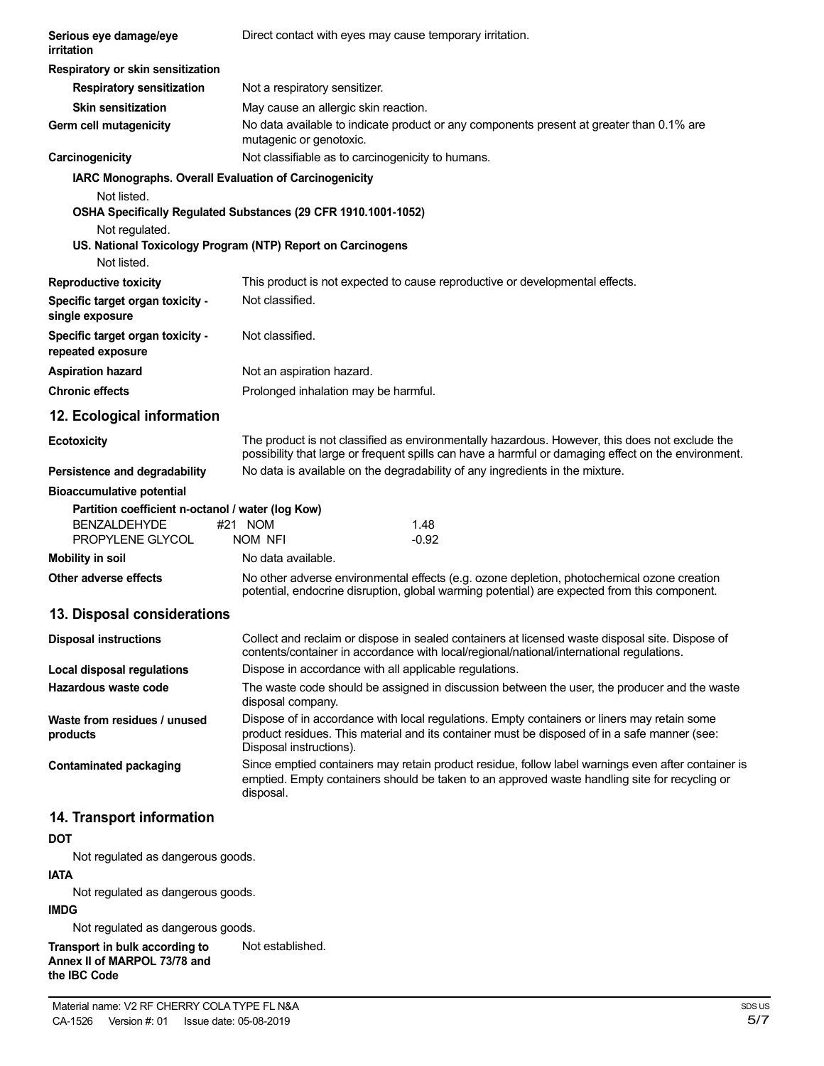| Serious eye damage/eye<br>irritation                                                                   | Direct contact with eyes may cause temporary irritation.                                                                                                                                                               |  |  |
|--------------------------------------------------------------------------------------------------------|------------------------------------------------------------------------------------------------------------------------------------------------------------------------------------------------------------------------|--|--|
| Respiratory or skin sensitization                                                                      |                                                                                                                                                                                                                        |  |  |
| <b>Respiratory sensitization</b>                                                                       | Not a respiratory sensitizer.                                                                                                                                                                                          |  |  |
| <b>Skin sensitization</b>                                                                              | May cause an allergic skin reaction.                                                                                                                                                                                   |  |  |
| Germ cell mutagenicity                                                                                 | No data available to indicate product or any components present at greater than 0.1% are<br>mutagenic or genotoxic.                                                                                                    |  |  |
| Carcinogenicity                                                                                        | Not classifiable as to carcinogenicity to humans.                                                                                                                                                                      |  |  |
| IARC Monographs. Overall Evaluation of Carcinogenicity<br>Not listed.<br>Not regulated.<br>Not listed. | OSHA Specifically Regulated Substances (29 CFR 1910.1001-1052)<br>US. National Toxicology Program (NTP) Report on Carcinogens                                                                                          |  |  |
| <b>Reproductive toxicity</b>                                                                           | This product is not expected to cause reproductive or developmental effects.                                                                                                                                           |  |  |
| Specific target organ toxicity -<br>single exposure                                                    | Not classified.                                                                                                                                                                                                        |  |  |
| Specific target organ toxicity -<br>repeated exposure                                                  | Not classified.                                                                                                                                                                                                        |  |  |
| <b>Aspiration hazard</b>                                                                               | Not an aspiration hazard.                                                                                                                                                                                              |  |  |
| <b>Chronic effects</b>                                                                                 | Prolonged inhalation may be harmful.                                                                                                                                                                                   |  |  |
| 12. Ecological information                                                                             |                                                                                                                                                                                                                        |  |  |
| <b>Ecotoxicity</b>                                                                                     | The product is not classified as environmentally hazardous. However, this does not exclude the<br>possibility that large or frequent spills can have a harmful or damaging effect on the environment.                  |  |  |
| Persistence and degradability                                                                          | No data is available on the degradability of any ingredients in the mixture.                                                                                                                                           |  |  |
| <b>Bioaccumulative potential</b>                                                                       |                                                                                                                                                                                                                        |  |  |
| Partition coefficient n-octanol / water (log Kow)<br><b>BENZALDEHYDE</b><br>PROPYLENE GLYCOL           | #21 NOM<br>1.48<br>$-0.92$<br>NOM NFI                                                                                                                                                                                  |  |  |
| <b>Mobility in soil</b>                                                                                | No data available.                                                                                                                                                                                                     |  |  |
| Other adverse effects                                                                                  | No other adverse environmental effects (e.g. ozone depletion, photochemical ozone creation<br>potential, endocrine disruption, global warming potential) are expected from this component.                             |  |  |
| 13. Disposal considerations                                                                            |                                                                                                                                                                                                                        |  |  |
| <b>Disposal instructions</b>                                                                           | Collect and reclaim or dispose in sealed containers at licensed waste disposal site. Dispose of<br>contents/container in accordance with local/regional/national/international regulations.                            |  |  |
| <b>Local disposal regulations</b>                                                                      | Dispose in accordance with all applicable regulations.                                                                                                                                                                 |  |  |
| Hazardous waste code                                                                                   | The waste code should be assigned in discussion between the user, the producer and the waste<br>disposal company.                                                                                                      |  |  |
| Waste from residues / unused<br>products                                                               | Dispose of in accordance with local regulations. Empty containers or liners may retain some<br>product residues. This material and its container must be disposed of in a safe manner (see:<br>Disposal instructions). |  |  |
| <b>Contaminated packaging</b>                                                                          | Since emptied containers may retain product residue, follow label warnings even after container is<br>emptied. Empty containers should be taken to an approved waste handling site for recycling or<br>disposal.       |  |  |
| 14. Transport information                                                                              |                                                                                                                                                                                                                        |  |  |
| <b>DOT</b>                                                                                             |                                                                                                                                                                                                                        |  |  |
| Not regulated as dangerous goods.                                                                      |                                                                                                                                                                                                                        |  |  |
| <b>IATA</b><br>Not regulated as dangerous goods.                                                       |                                                                                                                                                                                                                        |  |  |
|                                                                                                        |                                                                                                                                                                                                                        |  |  |

# **IMDG**

Not regulated as dangerous goods.

**Transport in bulk according to Annex II of MARPOL 73/78 and the IBC Code** Not established.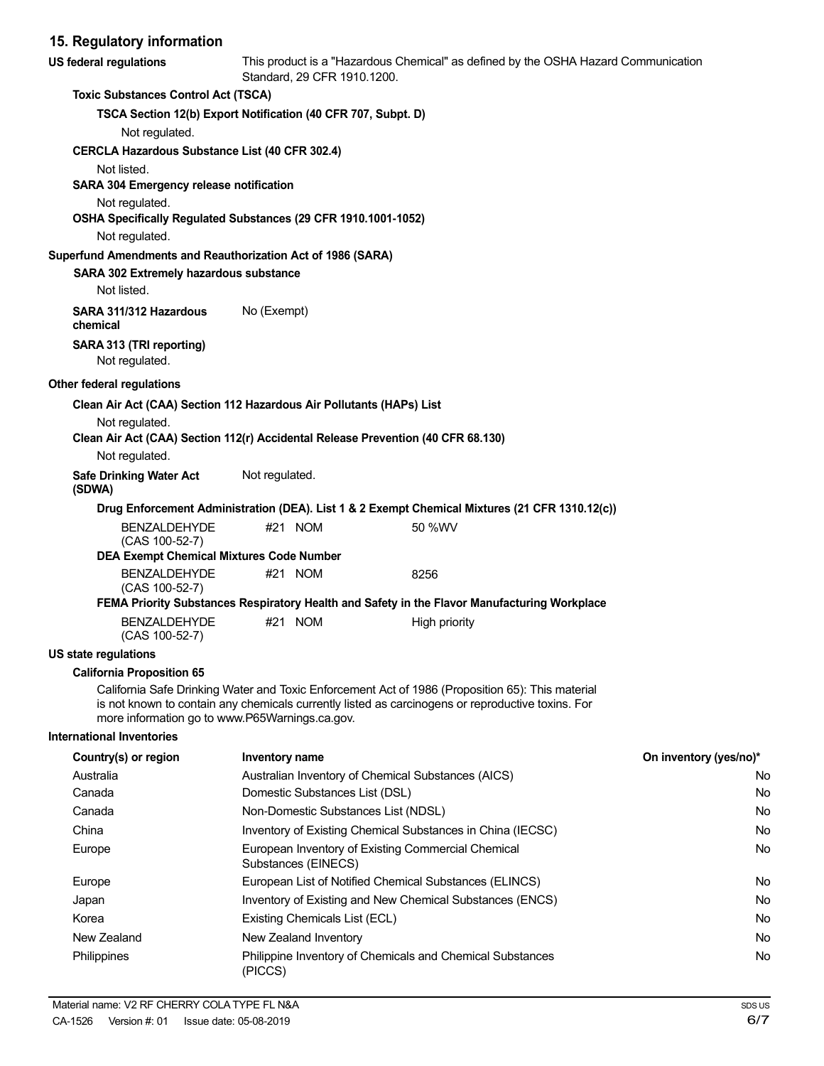# **15. Regulatory information**

| US federal regulations                                                                             |                                     | Standard, 29 CFR 1910.1200.    | This product is a "Hazardous Chemical" as defined by the OSHA Hazard Communication                                                                                                                    |                        |
|----------------------------------------------------------------------------------------------------|-------------------------------------|--------------------------------|-------------------------------------------------------------------------------------------------------------------------------------------------------------------------------------------------------|------------------------|
| <b>Toxic Substances Control Act (TSCA)</b>                                                         |                                     |                                |                                                                                                                                                                                                       |                        |
| TSCA Section 12(b) Export Notification (40 CFR 707, Subpt. D)                                      |                                     |                                |                                                                                                                                                                                                       |                        |
| Not regulated.                                                                                     |                                     |                                |                                                                                                                                                                                                       |                        |
| <b>CERCLA Hazardous Substance List (40 CFR 302.4)</b>                                              |                                     |                                |                                                                                                                                                                                                       |                        |
| Not listed.                                                                                        |                                     |                                |                                                                                                                                                                                                       |                        |
| SARA 304 Emergency release notification                                                            |                                     |                                |                                                                                                                                                                                                       |                        |
| Not regulated.<br>OSHA Specifically Regulated Substances (29 CFR 1910.1001-1052)                   |                                     |                                |                                                                                                                                                                                                       |                        |
| Not regulated.                                                                                     |                                     |                                |                                                                                                                                                                                                       |                        |
| Superfund Amendments and Reauthorization Act of 1986 (SARA)                                        |                                     |                                |                                                                                                                                                                                                       |                        |
| SARA 302 Extremely hazardous substance                                                             |                                     |                                |                                                                                                                                                                                                       |                        |
| Not listed.                                                                                        |                                     |                                |                                                                                                                                                                                                       |                        |
| SARA 311/312 Hazardous<br>chemical                                                                 | No (Exempt)                         |                                |                                                                                                                                                                                                       |                        |
| SARA 313 (TRI reporting)<br>Not regulated.                                                         |                                     |                                |                                                                                                                                                                                                       |                        |
| Other federal regulations                                                                          |                                     |                                |                                                                                                                                                                                                       |                        |
| Clean Air Act (CAA) Section 112 Hazardous Air Pollutants (HAPs) List                               |                                     |                                |                                                                                                                                                                                                       |                        |
| Not regulated.<br>Clean Air Act (CAA) Section 112(r) Accidental Release Prevention (40 CFR 68.130) |                                     |                                |                                                                                                                                                                                                       |                        |
| Not regulated.                                                                                     |                                     |                                |                                                                                                                                                                                                       |                        |
| <b>Safe Drinking Water Act</b><br>(SDWA)                                                           | Not regulated.                      |                                |                                                                                                                                                                                                       |                        |
|                                                                                                    |                                     |                                | Drug Enforcement Administration (DEA). List 1 & 2 Exempt Chemical Mixtures (21 CFR 1310.12(c))                                                                                                        |                        |
| <b>BENZALDEHYDE</b><br>(CAS 100-52-7)                                                              |                                     | #21 NOM                        | 50 %WV                                                                                                                                                                                                |                        |
| <b>DEA Exempt Chemical Mixtures Code Number</b>                                                    |                                     |                                |                                                                                                                                                                                                       |                        |
| <b>BENZALDEHYDE</b><br>(CAS 100-52-7)                                                              |                                     | #21 NOM                        | 8256                                                                                                                                                                                                  |                        |
|                                                                                                    |                                     |                                | FEMA Priority Substances Respiratory Health and Safety in the Flavor Manufacturing Workplace                                                                                                          |                        |
| <b>BENZALDEHYDE</b><br>(CAS 100-52-7)                                                              |                                     | #21 NOM                        | High priority                                                                                                                                                                                         |                        |
| <b>US state regulations</b>                                                                        |                                     |                                |                                                                                                                                                                                                       |                        |
| <b>California Proposition 65</b><br>more information go to www.P65Warnings.ca.gov.                 |                                     |                                | California Safe Drinking Water and Toxic Enforcement Act of 1986 (Proposition 65): This material<br>is not known to contain any chemicals currently listed as carcinogens or reproductive toxins. For |                        |
| <b>International Inventories</b>                                                                   |                                     |                                |                                                                                                                                                                                                       |                        |
| Country(s) or region                                                                               | Inventory name                      |                                |                                                                                                                                                                                                       | On inventory (yes/no)* |
| Australia                                                                                          |                                     |                                | Australian Inventory of Chemical Substances (AICS)                                                                                                                                                    | No.                    |
| Canada                                                                                             |                                     | Domestic Substances List (DSL) |                                                                                                                                                                                                       | No.                    |
| Canada                                                                                             | Non-Domestic Substances List (NDSL) |                                | No                                                                                                                                                                                                    |                        |
| China                                                                                              |                                     |                                | Inventory of Existing Chemical Substances in China (IECSC)                                                                                                                                            | No                     |
| Europe                                                                                             |                                     | Substances (EINECS)            | European Inventory of Existing Commercial Chemical                                                                                                                                                    | No                     |
| Europe                                                                                             |                                     |                                | European List of Notified Chemical Substances (ELINCS)                                                                                                                                                | No.                    |
| Japan                                                                                              |                                     |                                | Inventory of Existing and New Chemical Substances (ENCS)                                                                                                                                              | No                     |
| Korea                                                                                              |                                     | Existing Chemicals List (ECL)  |                                                                                                                                                                                                       | No                     |
| New Zealand                                                                                        |                                     | New Zealand Inventory          |                                                                                                                                                                                                       | No                     |
| Philippines                                                                                        | (PICCS)                             |                                | Philippine Inventory of Chemicals and Chemical Substances                                                                                                                                             | No                     |